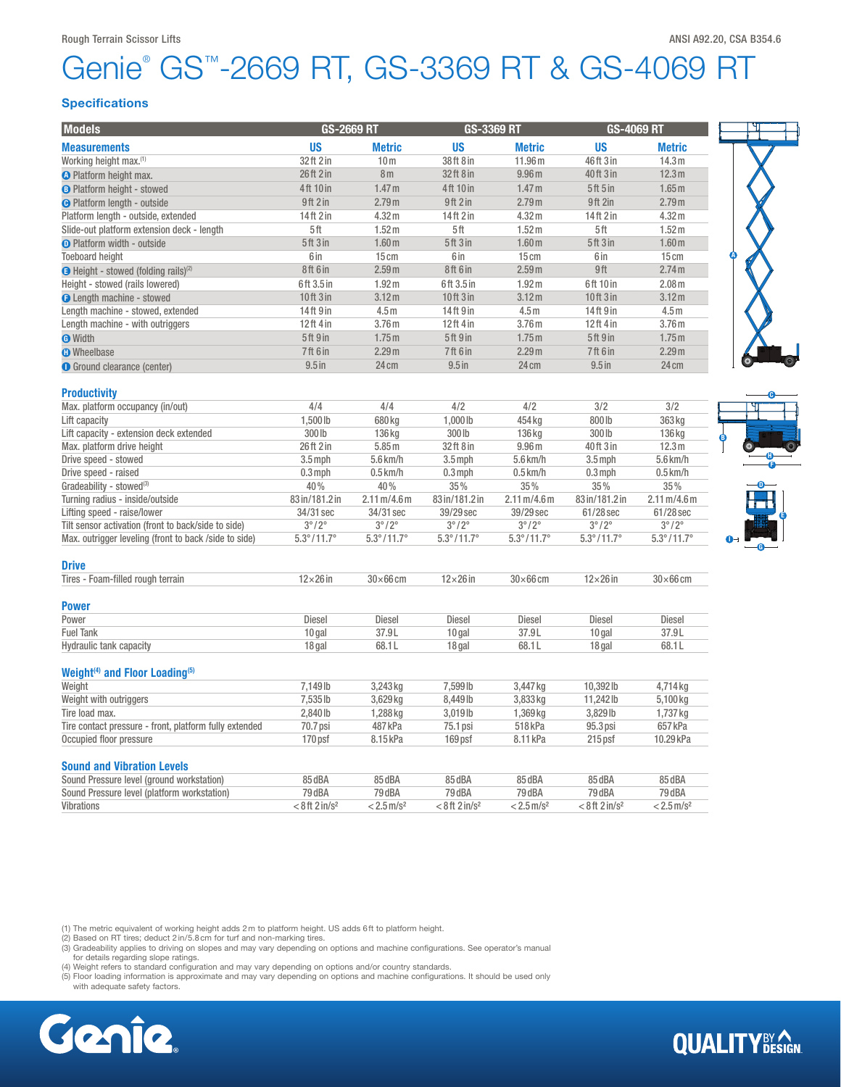# Genie® GS™-2669 RT, GS-3369 RT & GS-4069 RT

## **Specifications**

| <b>Models</b>                                           | GS-2669 RT                   |                                      | <b>GS-3369 RT</b>              |                                      | <b>GS-4069 RT</b>              |                                      |
|---------------------------------------------------------|------------------------------|--------------------------------------|--------------------------------|--------------------------------------|--------------------------------|--------------------------------------|
| <b>Measurements</b>                                     | <b>US</b>                    | <b>Metric</b>                        | <b>US</b>                      | <b>Metric</b>                        | <b>US</b>                      | <b>Metric</b>                        |
| Working height max. <sup>(1)</sup>                      | 32 ft 2 in                   | 10 <sub>m</sub>                      | 38ft 8 in                      | 11.96 m                              | 46ft 3 in                      | 14.3 <sub>m</sub>                    |
| <b>O</b> Platform height max.                           | 26 ft 2 in                   | 8 <sub>m</sub>                       | 32ft 8 in                      | 9.96 <sub>m</sub>                    | 40 ft 3 in                     | 12.3 <sub>m</sub>                    |
| <b>B</b> Platform height - stowed                       | 4ft 10 in                    | 1.47 <sub>m</sub>                    | 4ft 10 in                      | 1.47 <sub>m</sub>                    | 5ft 5in                        | 1.65 <sub>m</sub>                    |
| <b>O</b> Platform length - outside                      | 9ft 2 in                     | 2.79m                                | 9ft 2 in                       | 2.79 <sub>m</sub>                    | 9ft 2in                        | 2.79 <sub>m</sub>                    |
| Platform length - outside, extended                     | 14ft 2 in                    | 4.32 m                               | 14ft 2 in                      | 4.32 m                               | 14ft 2 in                      | 4.32 <sub>m</sub>                    |
| Slide-out platform extension deck - length              | 5ft                          | 1.52 <sub>m</sub>                    | 5ft                            | 1.52 m                               | 5ft                            | 1.52 <sub>m</sub>                    |
| <b>O</b> Platform width - outside                       | <b>5ft 3in</b>               | 1.60 <sub>m</sub>                    | 5ft3in                         | 1.60 <sub>m</sub>                    | <b>5ft 3in</b>                 | 1.60 <sub>m</sub>                    |
| <b>Toeboard height</b>                                  | 6 in                         | 15cm                                 | 6 in                           | $15 \text{ cm}$                      | 6 in                           | 15cm                                 |
| <b>B</b> Height - stowed (folding rails) <sup>(2)</sup> | 8ft 6 in                     | 2.59m                                | 8ft 6 in                       | 2.59 <sub>m</sub>                    | 9ft                            | 2.74 <sub>m</sub>                    |
|                                                         | 6ft 3.5 in                   |                                      | 6ft 3.5 in                     |                                      | 6ft 10 in                      | 2.08 <sub>m</sub>                    |
| Height - stowed (rails lowered)                         |                              | 1.92 <sub>m</sub>                    |                                | 1.92 <sub>m</sub>                    |                                |                                      |
| <b>O</b> Length machine - stowed                        | $10$ ft $3$ in               | 3.12 <sub>m</sub>                    | 10ft 3 in                      | 3.12 <sub>m</sub>                    | 10ft3in                        | 3.12 <sub>m</sub>                    |
| Length machine - stowed, extended                       | 14ft 9 in                    | 4.5 <sub>m</sub>                     | 14ft 9 in                      | 4.5 <sub>m</sub>                     | 14ft 9 in                      | 4.5 <sub>m</sub>                     |
| Length machine - with outriggers                        | 12ft 4 in                    | 3.76 <sub>m</sub>                    | 12ft 4 in                      | 3.76 <sub>m</sub>                    | 12ft 4 in                      | 3.76 <sub>m</sub>                    |
| <b>O</b> Width                                          | 5ft 9 in                     | 1.75m                                | 5ft 9 in                       | 1.75m                                | 5ft 9 in                       | 1.75 <sub>m</sub>                    |
| <b>O</b> Wheelbase                                      | 7ft 6 in                     | 2.29 <sub>m</sub>                    | 7ft 6 in                       | 2.29 <sub>m</sub>                    | 7ft 6 in                       | 2.29 <sub>m</sub>                    |
| <b>O</b> Ground clearance (center)                      | $9.5$ in                     | 24 cm                                | $9.5$ in                       | 24 cm                                | $9.5$ in                       | 24 cm                                |
| <b>Productivity</b>                                     |                              |                                      |                                |                                      |                                |                                      |
| Max. platform occupancy (in/out)                        | 4/4                          | 4/4                                  | 4/2                            | 4/2                                  | 3/2                            | 3/2                                  |
| Lift capacity                                           | 1,500 lb                     | 680 kg                               | 1,000 lb                       | 454 kg                               | 800 lb                         | 363 kg                               |
| Lift capacity - extension deck extended                 | 300 lb                       | 136 kg                               | 300 lb                         | 136 kg                               | 300 lb                         | 136 kg                               |
| Max. platform drive height                              | 26 ft 2 in                   | 5.85m                                | 32ft 8 in                      | 9.96 <sub>m</sub>                    | 40 ft 3 in                     | 12.3 <sub>m</sub>                    |
| Drive speed - stowed                                    | $3.5$ mph                    | 5.6 km/h                             | $3.5$ mph                      | 5.6 km/h                             | $3.5$ mph                      | 5.6 km/h                             |
| Drive speed - raised                                    | $0.3$ mph                    | $0.5$ km/h                           | $0.3$ mph                      | $0.5$ km/h                           | $0.3$ mph                      | $0.5$ km/h                           |
| Gradeability - stowed <sup>(3)</sup>                    | 40%                          | 40%                                  | 35%                            | 35%                                  | 35%                            | 35%                                  |
| Turning radius - inside/outside                         | 83 in/181.2 in               | $2.11 \,\mathrm{m}/4.6 \,\mathrm{m}$ | 83 in/181.2 in                 | $2.11 \,\mathrm{m}/4.6 \,\mathrm{m}$ | 83 in/181.2 in                 | $2.11 \,\mathrm{m}/4.6 \,\mathrm{m}$ |
| Lifting speed - raise/lower                             | 34/31 sec                    | 34/31 sec                            | 39/29 sec                      | 39/29 sec                            | 61/28 sec                      | 61/28 sec                            |
| Tilt sensor activation (front to back/side to side)     | $3^{\circ}/2^{\circ}$        | $3^{\circ}/2^{\circ}$                | $3^{\circ}/2^{\circ}$          | $3^{\circ}/2^{\circ}$                | $3^{\circ}/2^{\circ}$          | $3^{\circ}/2^{\circ}$                |
| Max. outrigger leveling (front to back /side to side)   | $5.3^{\circ}/11.7^{\circ}$   | $5.3^{\circ}/11.7^{\circ}$           | $5.3^{\circ}/11.7^{\circ}$     | $5.3^{\circ}/11.7^{\circ}$           | $5.3^{\circ}/11.7^{\circ}$     | $5.3^{\circ}/11.7^{\circ}$           |
| Drive                                                   |                              |                                      |                                |                                      |                                |                                      |
| Tires - Foam-filled rough terrain                       | $12\times26$ in              | $30\times 66$ cm                     | $12\times26$ in                | $30\times 66$ cm                     | $12\times26$ in                | $30\times 66$ cm                     |
| Power                                                   |                              |                                      |                                |                                      |                                |                                      |
| Power                                                   | Diesel                       | <b>Diesel</b>                        | <b>Diesel</b>                  | <b>Diesel</b>                        | Diesel                         | <b>Diesel</b>                        |
| <b>Fuel Tank</b>                                        | $10$ gal                     | 37.9L                                | $10$ gal                       | 37.9L                                | $10$ gal                       | 37.9L                                |
| Hydraulic tank capacity                                 | 18 gal                       | 68.1L                                | 18 gal                         | 68.1L                                | 18 gal                         | 68.1L                                |
| Weight <sup>(4)</sup> and Floor Loading <sup>(5)</sup>  |                              |                                      |                                |                                      |                                |                                      |
| Weight                                                  | 7,149 lb                     | 3,243 kg                             | 7,599 lb                       | 3,447 kg                             | 10,392lb                       | 4,714 kg                             |
| Weight with outriggers                                  | 7,535 lb                     | 3,629 kg                             | 8,449 lb                       | 3,833 kg                             | 11,242lb                       | 5,100 kg                             |
| Tire load max.                                          | 2,840 lb                     | 1,288 kg                             | 3,019lb                        | 1,369 kg                             | 3,829lb                        | 1,737 kg                             |
| Tire contact pressure - front, platform fully extended  | 70.7 psi                     | 487 kPa                              | 75.1 psi                       | 518 kPa                              | 95.3 psi                       | 657 kPa                              |
| Occupied floor pressure                                 | 170 psf                      | 8.15 kPa                             | 169psf                         | 8.11 kPa                             | $215$ psf                      | 10.29 kPa                            |
| <b>Sound and Vibration Levels</b>                       |                              |                                      |                                |                                      |                                |                                      |
|                                                         |                              |                                      |                                |                                      |                                |                                      |
| Sound Pressure level (ground workstation)               | 85 dBA                       | 85 dBA                               | 85 dBA                         | 85 dBA                               | 85 dBA                         | 85 dBA                               |
| Sound Pressure level (platform workstation)             | 79 dBA                       | 79 dBA                               | 79 dBA                         | 79 dBA                               | 79 dBA                         | 79 dBA                               |
| Vibrations                                              | $< 8$ ft 2 in/s <sup>2</sup> | $< 2.5$ m/s <sup>2</sup>             | $< 8$ ft $2$ in/s <sup>2</sup> | $< 2.5$ m/s <sup>2</sup>             | $< 8$ ft $2$ in/s <sup>2</sup> | $< 2.5$ m/s <sup>2</sup>             |

(1) The metric equivalent of working height adds 2 m to platform height. US adds 6 ft to platform height.<br>(2) Based on RT tires; deduct 2 in/5.8 cm for turf and non-marking tires.

(3) Gradeability applies to driving on slopes and may vary depending on options and machine configurations. See operator's manual<br>for details regarding slope ratings.<br>(4) Weight refers to standard configuration and may var

(5) Floor loading information is approximate and may vary depending on options and machine configurations. It should be used only with adequate safety factors.